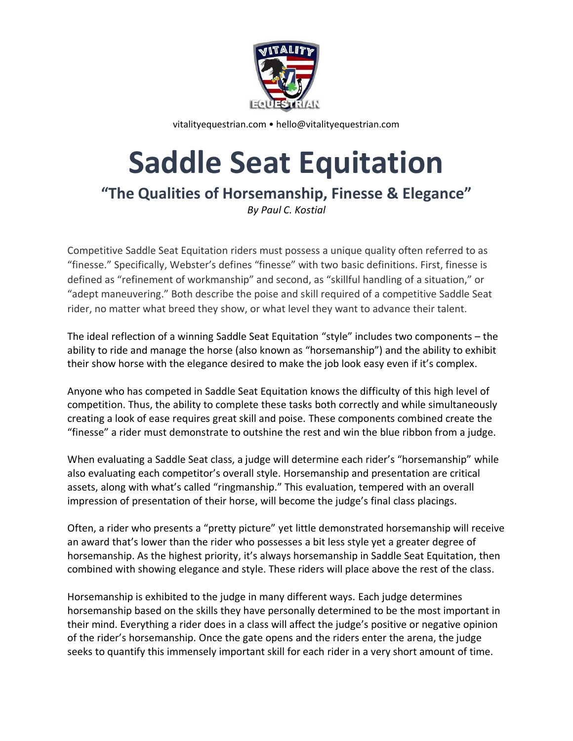

vitalityequestrian.com • hello@vitalityequestrian.com

## **Saddle Seat Equitation**

**"The Qualities of Horsemanship, Finesse & Elegance"**

*By Paul C. Kostial*

Competitive Saddle Seat Equitation riders must possess a unique quality often referred to as "finesse." Specifically, Webster's defines "finesse" with two basic definitions. First, finesse is defined as "refinement of workmanship" and second, as "skillful handling of a situation," or "adept maneuvering." Both describe the poise and skill required of a competitive Saddle Seat rider, no matter what breed they show, or what level they want to advance their talent.

The ideal reflection of a winning Saddle Seat Equitation "style" includes two components – the ability to ride and manage the horse (also known as "horsemanship") and the ability to exhibit their show horse with the elegance desired to make the job look easy even if it's complex.

Anyone who has competed in Saddle Seat Equitation knows the difficulty of this high level of competition. Thus, the ability to complete these tasks both correctly and while simultaneously creating a look of ease requires great skill and poise. These components combined create the "finesse" a rider must demonstrate to outshine the rest and win the blue ribbon from a judge.

When evaluating a Saddle Seat class, a judge will determine each rider's "horsemanship" while also evaluating each competitor's overall style. Horsemanship and presentation are critical assets, along with what's called "ringmanship." This evaluation, tempered with an overall impression of presentation of their horse, will become the judge's final class placings.

Often, a rider who presents a "pretty picture" yet little demonstrated horsemanship will receive an award that's lower than the rider who possesses a bit less style yet a greater degree of horsemanship. As the highest priority, it's always horsemanship in Saddle Seat Equitation, then combined with showing elegance and style. These riders will place above the rest of the class.

Horsemanship is exhibited to the judge in many different ways. Each judge determines horsemanship based on the skills they have personally determined to be the most important in their mind. Everything a rider does in a class will affect the judge's positive or negative opinion of the rider's horsemanship. Once the gate opens and the riders enter the arena, the judge seeks to quantify this immensely important skill for each rider in a very short amount of time.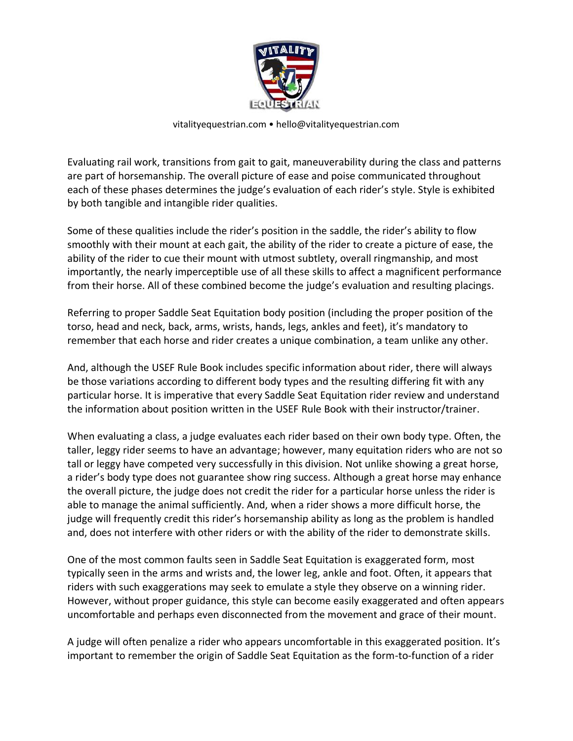

## vitalityequestrian.com • hello@vitalityequestrian.com

Evaluating rail work, transitions from gait to gait, maneuverability during the class and patterns are part of horsemanship. The overall picture of ease and poise communicated throughout each of these phases determines the judge's evaluation of each rider's style. Style is exhibited by both tangible and intangible rider qualities.

Some of these qualities include the rider's position in the saddle, the rider's ability to flow smoothly with their mount at each gait, the ability of the rider to create a picture of ease, the ability of the rider to cue their mount with utmost subtlety, overall ringmanship, and most importantly, the nearly imperceptible use of all these skills to affect a magnificent performance from their horse. All of these combined become the judge's evaluation and resulting placings.

Referring to proper Saddle Seat Equitation body position (including the proper position of the torso, head and neck, back, arms, wrists, hands, legs, ankles and feet), it's mandatory to remember that each horse and rider creates a unique combination, a team unlike any other.

And, although the USEF Rule Book includes specific information about rider, there will always be those variations according to different body types and the resulting differing fit with any particular horse. It is imperative that every Saddle Seat Equitation rider review and understand the information about position written in the USEF Rule Book with their instructor/trainer.

When evaluating a class, a judge evaluates each rider based on their own body type. Often, the taller, leggy rider seems to have an advantage; however, many equitation riders who are not so tall or leggy have competed very successfully in this division. Not unlike showing a great horse, a rider's body type does not guarantee show ring success. Although a great horse may enhance the overall picture, the judge does not credit the rider for a particular horse unless the rider is able to manage the animal sufficiently. And, when a rider shows a more difficult horse, the judge will frequently credit this rider's horsemanship ability as long as the problem is handled and, does not interfere with other riders or with the ability of the rider to demonstrate skills.

One of the most common faults seen in Saddle Seat Equitation is exaggerated form, most typically seen in the arms and wrists and, the lower leg, ankle and foot. Often, it appears that riders with such exaggerations may seek to emulate a style they observe on a winning rider. However, without proper guidance, this style can become easily exaggerated and often appears uncomfortable and perhaps even disconnected from the movement and grace of their mount.

A judge will often penalize a rider who appears uncomfortable in this exaggerated position. It's important to remember the origin of Saddle Seat Equitation as the form-to-function of a rider